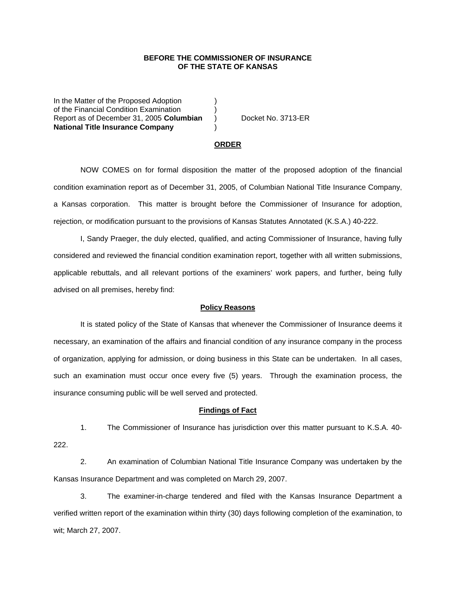## **BEFORE THE COMMISSIONER OF INSURANCE OF THE STATE OF KANSAS**

In the Matter of the Proposed Adoption of the Financial Condition Examination ) Report as of December 31, 2005 **Columbian** ) Docket No. 3713-ER **National Title Insurance Company** )

#### **ORDER**

 NOW COMES on for formal disposition the matter of the proposed adoption of the financial condition examination report as of December 31, 2005, of Columbian National Title Insurance Company, a Kansas corporation. This matter is brought before the Commissioner of Insurance for adoption, rejection, or modification pursuant to the provisions of Kansas Statutes Annotated (K.S.A.) 40-222.

 I, Sandy Praeger, the duly elected, qualified, and acting Commissioner of Insurance, having fully considered and reviewed the financial condition examination report, together with all written submissions, applicable rebuttals, and all relevant portions of the examiners' work papers, and further, being fully advised on all premises, hereby find:

### **Policy Reasons**

 It is stated policy of the State of Kansas that whenever the Commissioner of Insurance deems it necessary, an examination of the affairs and financial condition of any insurance company in the process of organization, applying for admission, or doing business in this State can be undertaken. In all cases, such an examination must occur once every five (5) years. Through the examination process, the insurance consuming public will be well served and protected.

#### **Findings of Fact**

 1. The Commissioner of Insurance has jurisdiction over this matter pursuant to K.S.A. 40- 222.

 2. An examination of Columbian National Title Insurance Company was undertaken by the Kansas Insurance Department and was completed on March 29, 2007.

 3. The examiner-in-charge tendered and filed with the Kansas Insurance Department a verified written report of the examination within thirty (30) days following completion of the examination, to wit; March 27, 2007.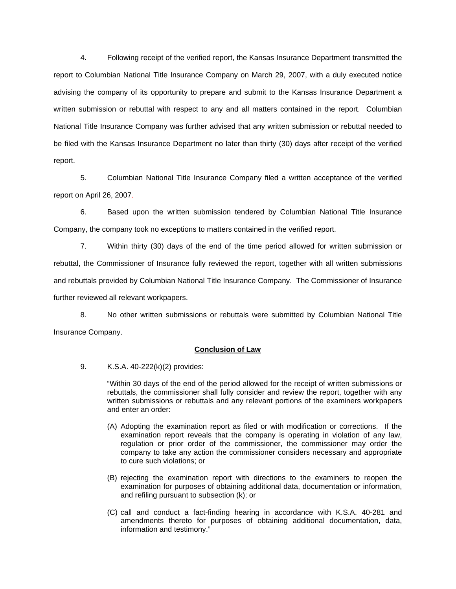4. Following receipt of the verified report, the Kansas Insurance Department transmitted the report to Columbian National Title Insurance Company on March 29, 2007, with a duly executed notice advising the company of its opportunity to prepare and submit to the Kansas Insurance Department a written submission or rebuttal with respect to any and all matters contained in the report. Columbian National Title Insurance Company was further advised that any written submission or rebuttal needed to be filed with the Kansas Insurance Department no later than thirty (30) days after receipt of the verified report.

 5. Columbian National Title Insurance Company filed a written acceptance of the verified report on April 26, 2007.

6. Based upon the written submission tendered by Columbian National Title Insurance Company, the company took no exceptions to matters contained in the verified report.

 7. Within thirty (30) days of the end of the time period allowed for written submission or rebuttal, the Commissioner of Insurance fully reviewed the report, together with all written submissions and rebuttals provided by Columbian National Title Insurance Company. The Commissioner of Insurance further reviewed all relevant workpapers.

 8. No other written submissions or rebuttals were submitted by Columbian National Title Insurance Company.

# **Conclusion of Law**

9. K.S.A. 40-222(k)(2) provides:

"Within 30 days of the end of the period allowed for the receipt of written submissions or rebuttals, the commissioner shall fully consider and review the report, together with any written submissions or rebuttals and any relevant portions of the examiners workpapers and enter an order:

- (A) Adopting the examination report as filed or with modification or corrections. If the examination report reveals that the company is operating in violation of any law, regulation or prior order of the commissioner, the commissioner may order the company to take any action the commissioner considers necessary and appropriate to cure such violations; or
- (B) rejecting the examination report with directions to the examiners to reopen the examination for purposes of obtaining additional data, documentation or information, and refiling pursuant to subsection (k); or
- (C) call and conduct a fact-finding hearing in accordance with K.S.A. 40-281 and amendments thereto for purposes of obtaining additional documentation, data, information and testimony."